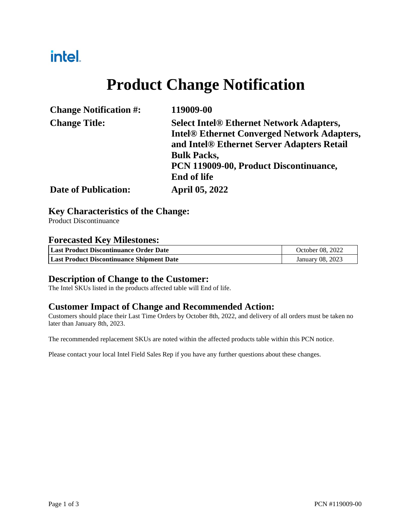## intel.

# **Product Change Notification**

| <b>Change Notification #:</b> | 119009-00                                                                                                                                           |  |
|-------------------------------|-----------------------------------------------------------------------------------------------------------------------------------------------------|--|
| <b>Change Title:</b>          | <b>Select Intel® Ethernet Network Adapters,</b><br><b>Intel® Ethernet Converged Network Adapters,</b><br>and Intel® Ethernet Server Adapters Retail |  |
|                               | <b>Bulk Packs,</b><br>PCN 119009-00, Product Discontinuance,<br><b>End of life</b>                                                                  |  |
| <b>Date of Publication:</b>   | <b>April 05, 2022</b>                                                                                                                               |  |

### **Key Characteristics of the Change:**

Product Discontinuance

### **Forecasted Key Milestones:**

| Last Product Discontinuance Order Date    | October 08, 2022 |
|-------------------------------------------|------------------|
| Last Product Discontinuance Shipment Date | January 08, 2023 |

#### **Description of Change to the Customer:**

The Intel SKUs listed in the products affected table will End of life.

#### **Customer Impact of Change and Recommended Action:**

Customers should place their Last Time Orders by October 8th, 2022, and delivery of all orders must be taken no later than January 8th, 2023.

The recommended replacement SKUs are noted within the affected products table within this PCN notice.

Please contact your local Intel Field Sales Rep if you have any further questions about these changes.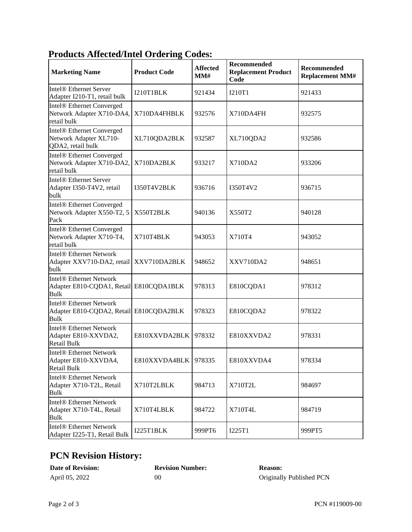### **Products Affected/Intel Ordering Codes:**

| <b>Marketing Name</b>                                                                    | <b>Product Code</b>  | <b>Affected</b><br>MM# | Recommended<br><b>Replacement Product</b><br>Code | <b>Recommended</b><br><b>Replacement MM#</b> |
|------------------------------------------------------------------------------------------|----------------------|------------------------|---------------------------------------------------|----------------------------------------------|
| Intel <sup>®</sup> Ethernet Server<br>Adapter I210-T1, retail bulk                       | I210T1BLK            | 921434                 | <b>I210T1</b>                                     | 921433                                       |
| Intel® Ethernet Converged<br>Network Adapter X710-DA4,<br>retail bulk                    | X710DA4FHBLK         | 932576                 | X710DA4FH                                         | 932575                                       |
| Intel <sup>®</sup> Ethernet Converged<br>Network Adapter XL710-<br>QDA2, retail bulk     | XL710QDA2BLK         | 932587                 | XL710QDA2                                         | 932586                                       |
| Intel® Ethernet Converged<br>Network Adapter X710-DA2,<br>retail bulk                    | X710DA2BLK           | 933217                 | X710DA2                                           | 933206                                       |
| Intel <sup>®</sup> Ethernet Server<br>Adapter I350-T4V2, retail<br>bulk                  | I350T4V2BLK          | 936716                 | I350T4V2                                          | 936715                                       |
| Intel® Ethernet Converged<br>Network Adapter X550-T2, 5<br>Pack                          | X550T2BLK            | 940136                 | X550T2                                            | 940128                                       |
| Intel® Ethernet Converged<br>Network Adapter X710-T4,<br>retail bulk                     | X710T4BLK            | 943053                 | X710T4                                            | 943052                                       |
| <b>Intel® Ethernet Network</b><br>Adapter XXV710-DA2, retail XXV710DA2BLK<br>bulk        |                      | 948652                 | XXV710DA2                                         | 948651                                       |
| <b>Intel® Ethernet Network</b><br>Adapter E810-CQDA1, Retail E810CQDA1BLK<br><b>Bulk</b> |                      | 978313                 | E810CQDA1                                         | 978312                                       |
| <b>Intel® Ethernet Network</b><br>Adapter E810-CQDA2, Retail E810CQDA2BLK<br><b>Bulk</b> |                      | 978323                 | E810CQDA2                                         | 978322                                       |
| <b>Intel® Ethernet Network</b><br>Adapter E810-XXVDA2,<br>Retail Bulk                    | E810XXVDA2BLK        | 978332                 | E810XXVDA2                                        | 978331                                       |
| <b>Intel® Ethernet Network</b><br>Adapter E810-XXVDA4,<br><b>Retail Bulk</b>             | E810XXVDA4BLK 978335 |                        | E810XXVDA4                                        | 978334                                       |
| <b>Intel® Ethernet Network</b><br>Adapter X710-T2L, Retail<br><b>Bulk</b>                | X710T2LBLK           | 984713                 | X710T2L                                           | 984697                                       |
| <b>Intel® Ethernet Network</b><br>Adapter X710-T4L, Retail<br><b>Bulk</b>                | X710T4LBLK           | 984722                 | X710T4L                                           | 984719                                       |
| <b>Intel® Ethernet Network</b><br>Adapter I225-T1, Retail Bulk                           | I225T1BLK            | 999PT6                 | I225T1                                            | 999PT5                                       |

### **PCN Revision History:**

| <b>Date of Revision:</b> | <b>Revision Number:</b> | <b>Reason:</b>           |
|--------------------------|-------------------------|--------------------------|
| April 05, 2022           | 00                      | Originally Published PCN |